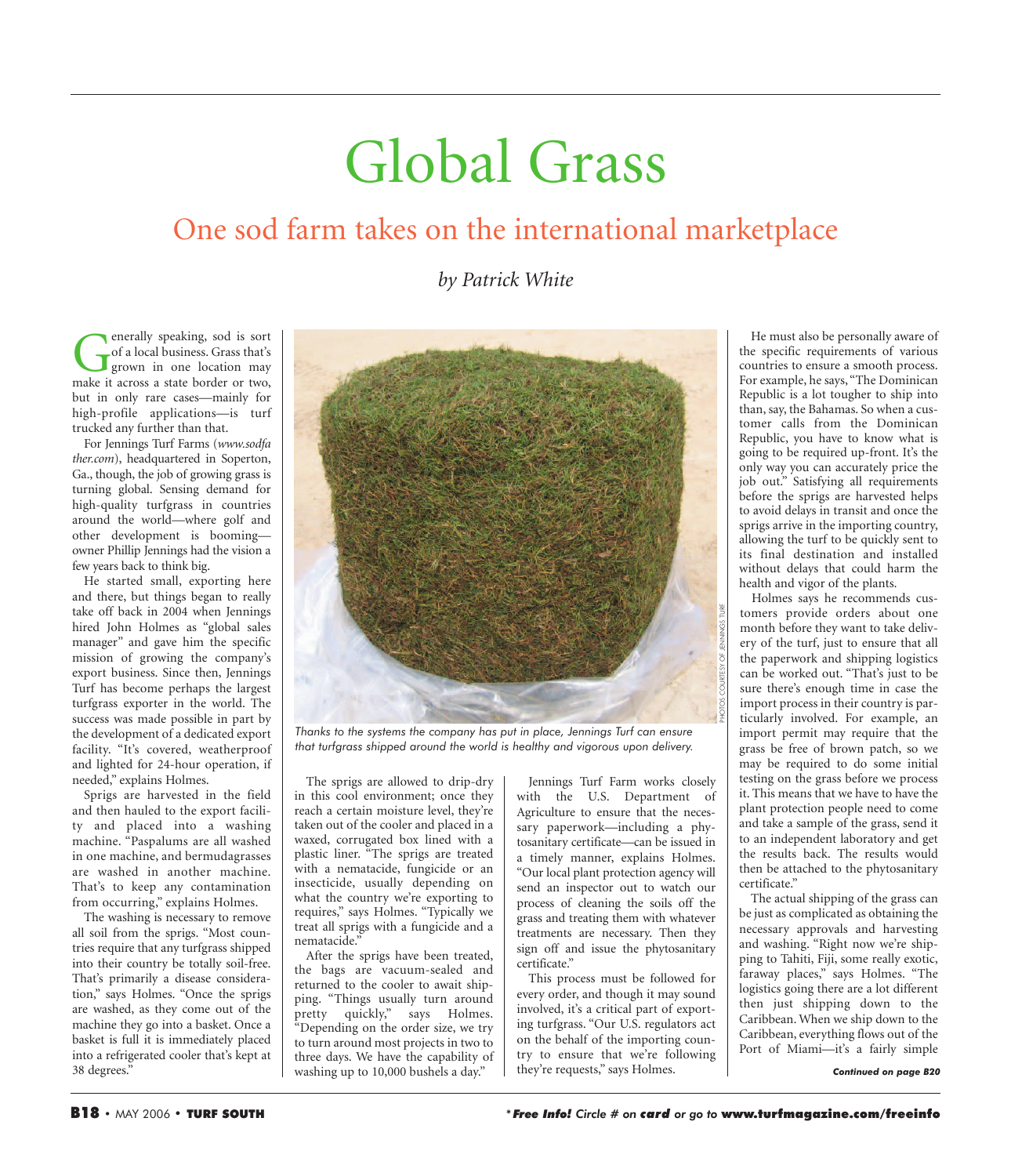## Global Grass

## One sod farm takes on the international marketplace

*by Patrick White*

enerally speaking, sod is sort<br>of a local business. Grass that's<br>grown in one location may<br>make it across a state border or two. of a local business. Grass that's grown in one location may make it across a state border or two, but in only rare cases—mainly for high-profile applications—is turf trucked any further than that.

For Jennings Turf Farms (*www.sodfa ther.com*), headquartered in Soperton, Ga., though, the job of growing grass is turning global. Sensing demand for high-quality turfgrass in countries around the world—where golf and other development is booming owner Phillip Jennings had the vision a few years back to think big.

He started small, exporting here and there, but things began to really take off back in 2004 when Jennings hired John Holmes as "global sales manager" and gave him the specific mission of growing the company's export business. Since then, Jennings Turf has become perhaps the largest turfgrass exporter in the world. The success was made possible in part by the development of a dedicated export facility. "It's covered, weatherproof and lighted for 24-hour operation, if needed," explains Holmes.

Sprigs are harvested in the field and then hauled to the export facility and placed into a washing machine. "Paspalums are all washed in one machine, and bermudagrasses are washed in another machine. That's to keep any contamination from occurring," explains Holmes.

The washing is necessary to remove all soil from the sprigs. "Most countries require that any turfgrass shipped into their country be totally soil-free. That's primarily a disease consideration," says Holmes. "Once the sprigs are washed, as they come out of the machine they go into a basket. Once a basket is full it is immediately placed into a refrigerated cooler that's kept at 38 degrees."



*Thanks to the systems the company has put in place, Jennings Turf can ensure that turfgrass shipped around the world is healthy and vigorous upon delivery.*

The sprigs are allowed to drip-dry in this cool environment; once they reach a certain moisture level, they're taken out of the cooler and placed in a waxed, corrugated box lined with a plastic liner. "The sprigs are treated with a nematacide, fungicide or an insecticide, usually depending on what the country we're exporting to requires," says Holmes. "Typically we treat all sprigs with a fungicide and a nematacide."

After the sprigs have been treated, the bags are vacuum-sealed and returned to the cooler to await shipping. "Things usually turn around pretty quickly," says Holmes. "Depending on the order size, we try to turn around most projects in two to three days. We have the capability of washing up to 10,000 bushels a day."

Jennings Turf Farm works closely with the U.S. Department of Agriculture to ensure that the necessary paperwork—including a phytosanitary certificate—can be issued in a timely manner, explains Holmes. "Our local plant protection agency will send an inspector out to watch our process of cleaning the soils off the grass and treating them with whatever treatments are necessary. Then they sign off and issue the phytosanitary certificate."

This process must be followed for every order, and though it may sound involved, it's a critical part of exporting turfgrass. "Our U.S. regulators act on the behalf of the importing country to ensure that we're following they're requests," says Holmes.

He must also be personally aware of the specific requirements of various countries to ensure a smooth process. For example, he says, "The Dominican Republic is a lot tougher to ship into than, say, the Bahamas. So when a customer calls from the Dominican Republic, you have to know what is going to be required up-front. It's the only way you can accurately price the job out." Satisfying all requirements before the sprigs are harvested helps to avoid delays in transit and once the sprigs arrive in the importing country, allowing the turf to be quickly sent to its final destination and installed without delays that could harm the health and vigor of the plants.

Holmes says he recommends customers provide orders about one month before they want to take delivery of the turf, just to ensure that all the paperwork and shipping logistics can be worked out. "That's just to be sure there's enough time in case the import process in their country is particularly involved. For example, an import permit may require that the grass be free of brown patch, so we may be required to do some initial testing on the grass before we process it. This means that we have to have the plant protection people need to come and take a sample of the grass, send it to an independent laboratory and get the results back. The results would then be attached to the phytosanitary certificate."

The actual shipping of the grass can be just as complicated as obtaining the necessary approvals and harvesting and washing. "Right now we're shipping to Tahiti, Fiji, some really exotic, faraway places," says Holmes. "The logistics going there are a lot different then just shipping down to the Caribbean. When we ship down to the Caribbean, everything flows out of the Port of Miami—it's a fairly simple

*Continued on page B20*

PHOTOS COURTESY OF JENNINGS TURF.